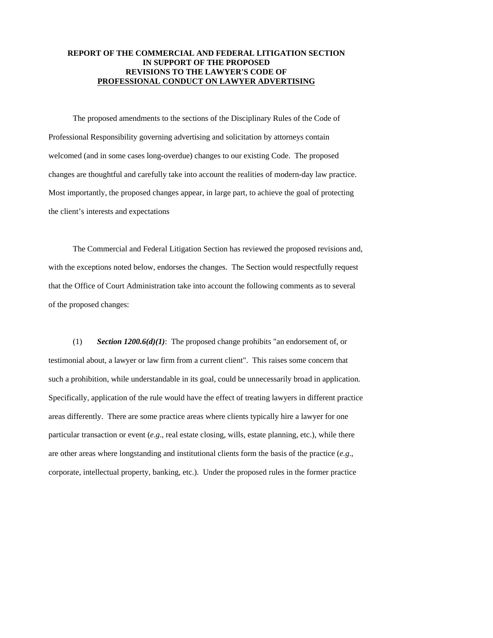## **REPORT OF THE COMMERCIAL AND FEDERAL LITIGATION SECTION IN SUPPORT OF THE PROPOSED REVISIONS TO THE LAWYER'S CODE OF PROFESSIONAL CONDUCT ON LAWYER ADVERTISING**

 The proposed amendments to the sections of the Disciplinary Rules of the Code of Professional Responsibility governing advertising and solicitation by attorneys contain welcomed (and in some cases long-overdue) changes to our existing Code. The proposed changes are thoughtful and carefully take into account the realities of modern-day law practice. Most importantly, the proposed changes appear, in large part, to achieve the goal of protecting the client's interests and expectations

 The Commercial and Federal Litigation Section has reviewed the proposed revisions and, with the exceptions noted below, endorses the changes. The Section would respectfully request that the Office of Court Administration take into account the following comments as to several of the proposed changes:

 (1) *Section 1200.6(d)(1)*: The proposed change prohibits "an endorsement of, or testimonial about, a lawyer or law firm from a current client". This raises some concern that such a prohibition, while understandable in its goal, could be unnecessarily broad in application. Specifically, application of the rule would have the effect of treating lawyers in different practice areas differently. There are some practice areas where clients typically hire a lawyer for one particular transaction or event (*e.g*., real estate closing, wills, estate planning, etc.), while there are other areas where longstanding and institutional clients form the basis of the practice (*e.g*., corporate, intellectual property, banking, etc.). Under the proposed rules in the former practice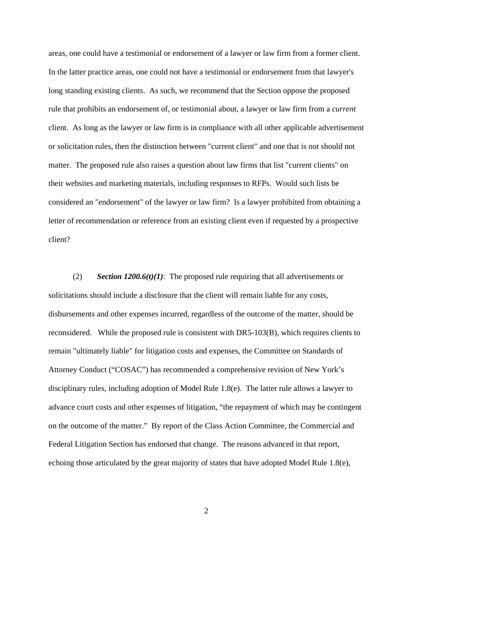areas, one could have a testimonial or endorsement of a lawyer or law firm from a former client. In the latter practice areas, one could not have a testimonial or endorsement from that lawyer's long standing existing clients. As such, we recommend that the Section oppose the proposed rule that prohibits an endorsement of, or testimonial about, a lawyer or law firm from a *current* client. As long as the lawyer or law firm is in compliance with all other applicable advertisement or solicitation rules, then the distinction between "current client" and one that is not should not matter. The proposed rule also raises a question about law firms that list "current clients" on their websites and marketing materials, including responses to RFPs. Would such lists be considered an "endorsement" of the lawyer or law firm? Is a lawyer prohibited from obtaining a letter of recommendation or reference from an existing client even if requested by a prospective client?

 (2) *Section 1200.6(t)(1)*: The proposed rule requiring that all advertisements or solicitations should include a disclosure that the client will remain liable for any costs, disbursements and other expenses incurred, regardless of the outcome of the matter, should be reconsidered. While the proposed rule is consistent with DR5-103(B), which requires clients to remain "ultimately liable" for litigation costs and expenses, the Committee on Standards of Attorney Conduct ("COSAC") has recommended a comprehensive revision of New York's disciplinary rules, including adoption of Model Rule 1.8(e). The latter rule allows a lawyer to advance court costs and other expenses of litigation, "the repayment of which may be contingent on the outcome of the matter." By report of the Class Action Committee, the Commercial and Federal Litigation Section has endorsed that change. The reasons advanced in that report, echoing those articulated by the great majority of states that have adopted Model Rule 1.8(e),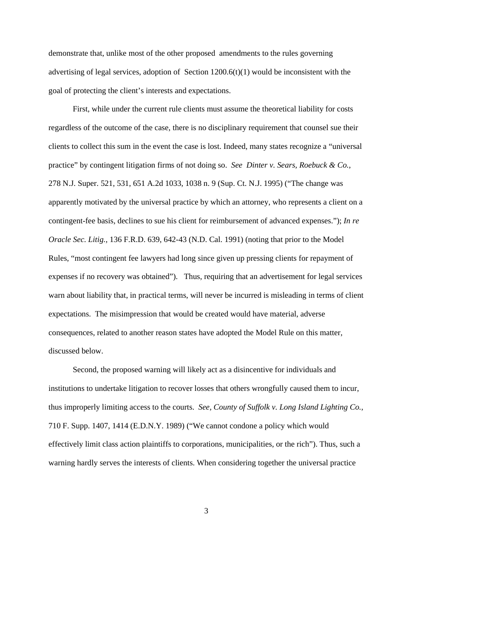demonstrate that, unlike most of the other proposed amendments to the rules governing advertising of legal services, adoption of Section  $1200.6(t)(1)$  would be inconsistent with the goal of protecting the client's interests and expectations.

 First, while under the current rule clients must assume the theoretical liability for costs regardless of the outcome of the case, there is no disciplinary requirement that counsel sue their clients to collect this sum in the event the case is lost. Indeed, many states recognize a "universal practice" by contingent litigation firms of not doing so. *See Dinter v. Sears, Roebuck & Co.,* 278 N.J. Super. 521, 531, 651 A.2d 1033, 1038 n. 9 (Sup. Ct. N.J. 1995) ("The change was apparently motivated by the universal practice by which an attorney, who represents a client on a contingent-fee basis, declines to sue his client for reimbursement of advanced expenses."); *In re Oracle Sec. Litig.,* 136 F.R.D. 639, 642-43 (N.D. Cal. 1991) (noting that prior to the Model Rules, "most contingent fee lawyers had long since given up pressing clients for repayment of expenses if no recovery was obtained"). Thus, requiring that an advertisement for legal services warn about liability that, in practical terms, will never be incurred is misleading in terms of client expectations. The misimpression that would be created would have material, adverse consequences, related to another reason states have adopted the Model Rule on this matter, discussed below.

Second, the proposed warning will likely act as a disincentive for individuals and institutions to undertake litigation to recover losses that others wrongfully caused them to incur, thus improperly limiting access to the courts. *See, County of Suffolk v. Long Island Lighting Co.,*  710 F. Supp. 1407, 1414 (E.D.N.Y. 1989) ("We cannot condone a policy which would effectively limit class action plaintiffs to corporations, municipalities, or the rich"). Thus, such a warning hardly serves the interests of clients. When considering together the universal practice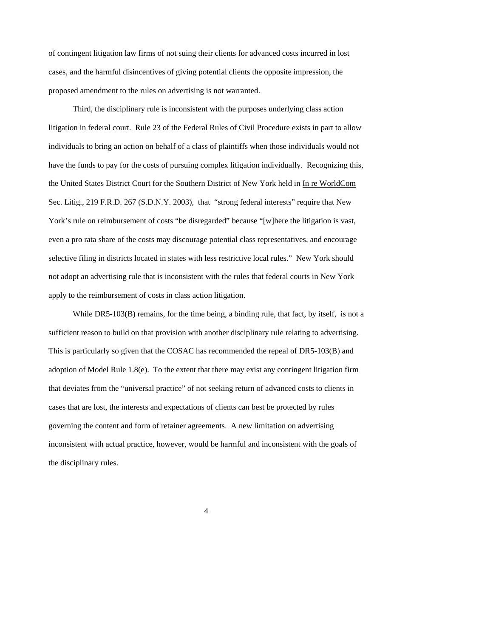of contingent litigation law firms of not suing their clients for advanced costs incurred in lost cases, and the harmful disincentives of giving potential clients the opposite impression, the proposed amendment to the rules on advertising is not warranted.

Third, the disciplinary rule is inconsistent with the purposes underlying class action litigation in federal court. Rule 23 of the Federal Rules of Civil Procedure exists in part to allow individuals to bring an action on behalf of a class of plaintiffs when those individuals would not have the funds to pay for the costs of pursuing complex litigation individually. Recognizing this, the United States District Court for the Southern District of New York held in In re WorldCom Sec. Litig., 219 F.R.D. 267 (S.D.N.Y. 2003), that "strong federal interests" require that New York's rule on reimbursement of costs "be disregarded" because "[w]here the litigation is vast, even a pro rata share of the costs may discourage potential class representatives, and encourage selective filing in districts located in states with less restrictive local rules." New York should not adopt an advertising rule that is inconsistent with the rules that federal courts in New York apply to the reimbursement of costs in class action litigation.

While DR5-103(B) remains, for the time being, a binding rule, that fact, by itself, is not a sufficient reason to build on that provision with another disciplinary rule relating to advertising. This is particularly so given that the COSAC has recommended the repeal of DR5-103(B) and adoption of Model Rule 1.8(e). To the extent that there may exist any contingent litigation firm that deviates from the "universal practice" of not seeking return of advanced costs to clients in cases that are lost, the interests and expectations of clients can best be protected by rules governing the content and form of retainer agreements. A new limitation on advertising inconsistent with actual practice, however, would be harmful and inconsistent with the goals of the disciplinary rules.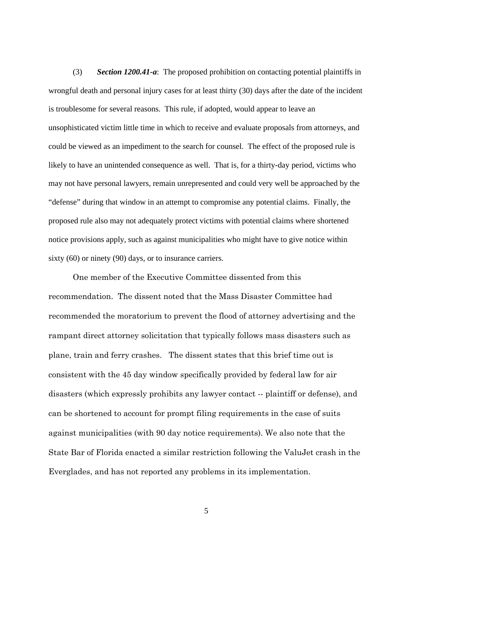(3) *Section 1200.41-a*: The proposed prohibition on contacting potential plaintiffs in wrongful death and personal injury cases for at least thirty (30) days after the date of the incident is troublesome for several reasons. This rule, if adopted, would appear to leave an unsophisticated victim little time in which to receive and evaluate proposals from attorneys, and could be viewed as an impediment to the search for counsel. The effect of the proposed rule is likely to have an unintended consequence as well. That is, for a thirty-day period, victims who may not have personal lawyers, remain unrepresented and could very well be approached by the "defense" during that window in an attempt to compromise any potential claims. Finally, the proposed rule also may not adequately protect victims with potential claims where shortened notice provisions apply, such as against municipalities who might have to give notice within sixty (60) or ninety (90) days, or to insurance carriers.

One member of the Executive Committee dissented from this recommendation. The dissent noted that the Mass Disaster Committee had recommended the moratorium to prevent the flood of attorney advertising and the rampant direct attorney solicitation that typically follows mass disasters such as plane, train and ferry crashes. The dissent states that this brief time out is consistent with the 45 day window specifically provided by federal law for air disasters (which expressly prohibits any lawyer contact -- plaintiff or defense), and can be shortened to account for prompt filing requirements in the case of suits against municipalities (with 90 day notice requirements). We also note that the State Bar of Florida enacted a similar restriction following the ValuJet crash in the Everglades, and has not reported any problems in its implementation.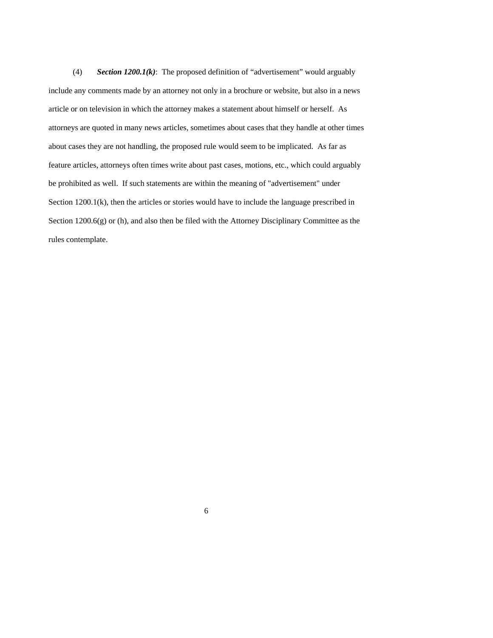(4) *Section 1200.1(k)*: The proposed definition of "advertisement" would arguably include any comments made by an attorney not only in a brochure or website, but also in a news article or on television in which the attorney makes a statement about himself or herself. As attorneys are quoted in many news articles, sometimes about cases that they handle at other times about cases they are not handling, the proposed rule would seem to be implicated. As far as feature articles, attorneys often times write about past cases, motions, etc., which could arguably be prohibited as well. If such statements are within the meaning of "advertisement" under Section 1200.1(k), then the articles or stories would have to include the language prescribed in Section  $1200.6(g)$  or (h), and also then be filed with the Attorney Disciplinary Committee as the rules contemplate.